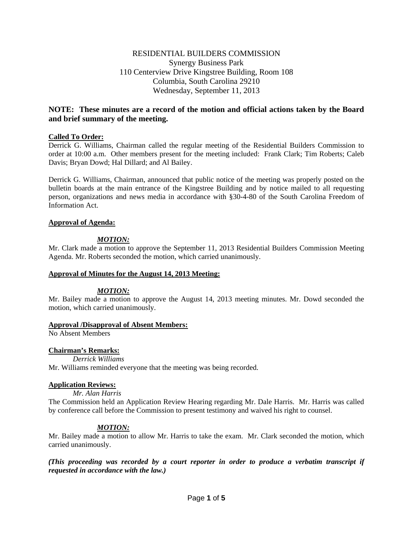# RESIDENTIAL BUILDERS COMMISSION Synergy Business Park 110 Centerview Drive Kingstree Building, Room 108 Columbia, South Carolina 29210 Wednesday, September 11, 2013

# **NOTE: These minutes are a record of the motion and official actions taken by the Board and brief summary of the meeting.**

## **Called To Order:**

Derrick G. Williams, Chairman called the regular meeting of the Residential Builders Commission to order at 10:00 a.m. Other members present for the meeting included: Frank Clark; Tim Roberts; Caleb Davis; Bryan Dowd; Hal Dillard; and Al Bailey.

Derrick G. Williams, Chairman, announced that public notice of the meeting was properly posted on the bulletin boards at the main entrance of the Kingstree Building and by notice mailed to all requesting person, organizations and news media in accordance with §30-4-80 of the South Carolina Freedom of Information Act.

## **Approval of Agenda:**

## *MOTION:*

Mr. Clark made a motion to approve the September 11, 2013 Residential Builders Commission Meeting Agenda. Mr. Roberts seconded the motion, which carried unanimously.

## **Approval of Minutes for the August 14, 2013 Meeting:**

## *MOTION:*

Mr. Bailey made a motion to approve the August 14, 2013 meeting minutes. Mr. Dowd seconded the motion, which carried unanimously.

## **Approval /Disapproval of Absent Members:**

No Absent Members

## **Chairman's Remarks:**

*Derrick Williams*

Mr. Williams reminded everyone that the meeting was being recorded.

## **Application Reviews:**

## *Mr. Alan Harris*

The Commission held an Application Review Hearing regarding Mr. Dale Harris. Mr. Harris was called by conference call before the Commission to present testimony and waived his right to counsel.

## *MOTION:*

Mr. Bailey made a motion to allow Mr. Harris to take the exam. Mr. Clark seconded the motion, which carried unanimously.

*(This proceeding was recorded by a court reporter in order to produce a verbatim transcript if requested in accordance with the law.)*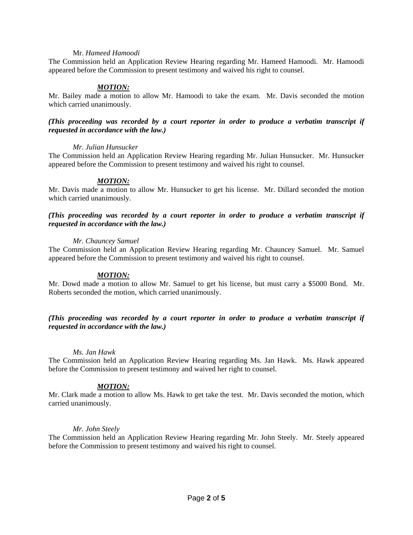### Mr. *Hameed Hamoodi*

The Commission held an Application Review Hearing regarding Mr. Hameed Hamoodi. Mr. Hamoodi appeared before the Commission to present testimony and waived his right to counsel.

## *MOTION:*

Mr. Bailey made a motion to allow Mr. Hamoodi to take the exam. Mr. Davis seconded the motion which carried unanimously.

### *(This proceeding was recorded by a court reporter in order to produce a verbatim transcript if requested in accordance with the law.)*

### *Mr. Julian Hunsucker*

The Commission held an Application Review Hearing regarding Mr. Julian Hunsucker. Mr. Hunsucker appeared before the Commission to present testimony and waived his right to counsel.

## *MOTION:*

Mr. Davis made a motion to allow Mr. Hunsucker to get his license. Mr. Dillard seconded the motion which carried unanimously.

## *(This proceeding was recorded by a court reporter in order to produce a verbatim transcript if requested in accordance with the law.)*

### *Mr. Chauncey Samuel*

The Commission held an Application Review Hearing regarding Mr. Chauncey Samuel. Mr. Samuel appeared before the Commission to present testimony and waived his right to counsel.

## *MOTION:*

Mr. Dowd made a motion to allow Mr. Samuel to get his license, but must carry a \$5000 Bond. Mr. Roberts seconded the motion, which carried unanimously.

## *(This proceeding was recorded by a court reporter in order to produce a verbatim transcript if requested in accordance with the law.)*

#### *Ms. Jan Hawk*

The Commission held an Application Review Hearing regarding Ms. Jan Hawk. Ms. Hawk appeared before the Commission to present testimony and waived her right to counsel.

## *MOTION:*

Mr. Clark made a motion to allow Ms. Hawk to get take the test. Mr. Davis seconded the motion, which carried unanimously.

## *Mr. John Steely*

The Commission held an Application Review Hearing regarding Mr. John Steely. Mr. Steely appeared before the Commission to present testimony and waived his right to counsel.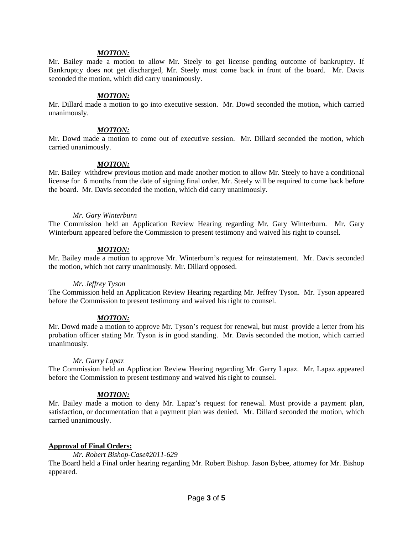### *MOTION:*

Mr. Bailey made a motion to allow Mr. Steely to get license pending outcome of bankruptcy. If Bankruptcy does not get discharged, Mr. Steely must come back in front of the board. Mr. Davis seconded the motion, which did carry unanimously.

### *MOTION:*

Mr. Dillard made a motion to go into executive session. Mr. Dowd seconded the motion, which carried unanimously.

#### *MOTION:*

Mr. Dowd made a motion to come out of executive session. Mr. Dillard seconded the motion, which carried unanimously.

### *MOTION:*

Mr. Bailey withdrew previous motion and made another motion to allow Mr. Steely to have a conditional license for 6 months from the date of signing final order. Mr. Steely will be required to come back before the board. Mr. Davis seconded the motion, which did carry unanimously.

### *Mr. Gary Winterburn*

The Commission held an Application Review Hearing regarding Mr. Gary Winterburn. Mr. Gary Winterburn appeared before the Commission to present testimony and waived his right to counsel.

### *MOTION:*

Mr. Bailey made a motion to approve Mr. Winterburn's request for reinstatement. Mr. Davis seconded the motion, which not carry unanimously. Mr. Dillard opposed.

#### *Mr. Jeffrey Tyson*

The Commission held an Application Review Hearing regarding Mr. Jeffrey Tyson. Mr. Tyson appeared before the Commission to present testimony and waived his right to counsel.

## *MOTION:*

Mr. Dowd made a motion to approve Mr. Tyson's request for renewal, but must provide a letter from his probation officer stating Mr. Tyson is in good standing. Mr. Davis seconded the motion, which carried unanimously.

## *Mr. Garry Lapaz*

The Commission held an Application Review Hearing regarding Mr. Garry Lapaz. Mr. Lapaz appeared before the Commission to present testimony and waived his right to counsel.

## *MOTION:*

Mr. Bailey made a motion to deny Mr. Lapaz's request for renewal. Must provide a payment plan, satisfaction, or documentation that a payment plan was denied. Mr. Dillard seconded the motion, which carried unanimously.

## **Approval of Final Orders:**

### *Mr. Robert Bishop-Case#2011-629*

The Board held a Final order hearing regarding Mr. Robert Bishop. Jason Bybee, attorney for Mr. Bishop appeared.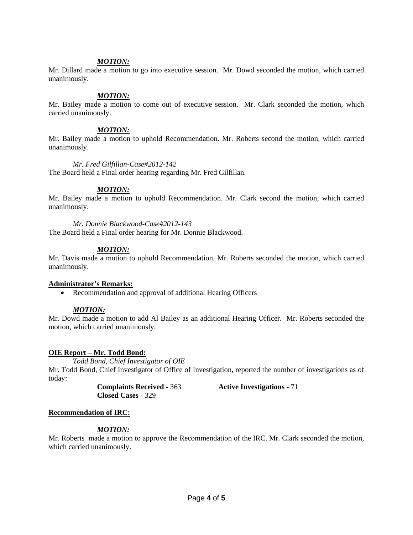### *MOTION:*

Mr. Dillard made a motion to go into executive session. Mr. Dowd seconded the motion, which carried unanimously.

### *MOTION:*

Mr. Bailey made a motion to come out of executive session. Mr. Clark seconded the motion, which carried unanimously.

#### *MOTION:*

Mr. Bailey made a motion to uphold Recommendation. Mr. Roberts second the motion, which carried unanimously.

#### *Mr. Fred Gilfillan-Case#2012-142*

The Board held a Final order hearing regarding Mr. Fred Gilfillan.

### *MOTION:*

Mr. Bailey made a motion to uphold Recommendation. Mr. Clark second the motion, which carried unanimously.

*Mr. Donnie Blackwood-Case#2012-143* The Board held a Final order hearing for Mr. Donnie Blackwood.

### *MOTION:*

Mr. Davis made a motion to uphold Recommendation. Mr. Roberts seconded the motion, which carried unanimously.

#### **Administrator's Remarks:**

• Recommendation and approval of additional Hearing Officers

#### *MOTION:*

Mr. Dowd made a motion to add Al Bailey as an additional Hearing Officer. Mr. Roberts seconded the motion, which carried unanimously.

## **OIE Report – Mr. Todd Bond:**

*Todd Bond, Chief Investigator of OIE* Mr. Todd Bond, Chief Investigator of Office of Investigation, reported the number of investigations as of today:

> **Complaints Received -** 363 **Active Investigations -** 71 **Closed Cases -** 329

## **Recommendation of IRC:**

## *MOTION:*

Mr. Roberts made a motion to approve the Recommendation of the IRC. Mr. Clark seconded the motion, which carried unanimously.